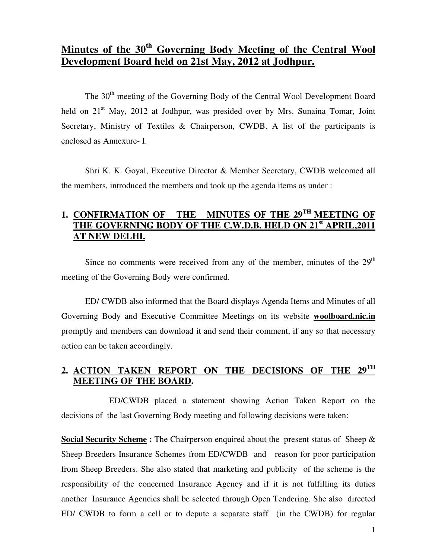# **Minutes of the 30th Governing Body Meeting of the Central Wool Development Board held on 21st May, 2012 at Jodhpur.**

The 30<sup>th</sup> meeting of the Governing Body of the Central Wool Development Board held on  $21<sup>st</sup>$  May, 2012 at Jodhpur, was presided over by Mrs. Sunaina Tomar, Joint Secretary, Ministry of Textiles & Chairperson, CWDB. A list of the participants is enclosed as Annexure- I.

Shri K. K. Goyal, Executive Director & Member Secretary, CWDB welcomed all the members, introduced the members and took up the agenda items as under :

## **1. CONFIRMATION OF THE MINUTES OF THE 29TH MEETING OF THE GOVERNING BODY OF THE C.W.D.B. HELD ON 21st APRIL,2011 AT NEW DELHI.**

Since no comments were received from any of the member, minutes of the  $29<sup>th</sup>$ meeting of the Governing Body were confirmed.

 ED/ CWDB also informed that the Board displays Agenda Items and Minutes of all Governing Body and Executive Committee Meetings on its website **woolboard.nic.in** promptly and members can download it and send their comment, if any so that necessary action can be taken accordingly.

## **2. ACTION TAKEN REPORT ON THE DECISIONS OF THE 29TH MEETING OF THE BOARD.**

 ED/CWDB placed a statement showing Action Taken Report on the decisions of the last Governing Body meeting and following decisions were taken:

**Social Security Scheme :** The Chairperson enquired about the present status of Sheep & Sheep Breeders Insurance Schemes from ED/CWDB and reason for poor participation from Sheep Breeders. She also stated that marketing and publicity of the scheme is the responsibility of the concerned Insurance Agency and if it is not fulfilling its duties another Insurance Agencies shall be selected through Open Tendering. She also directed ED/ CWDB to form a cell or to depute a separate staff (in the CWDB) for regular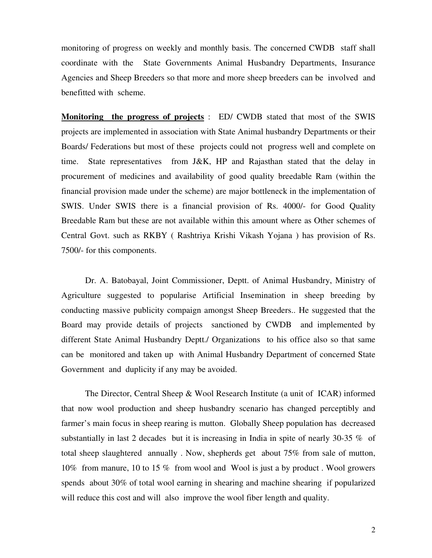monitoring of progress on weekly and monthly basis. The concerned CWDB staff shall coordinate with the State Governments Animal Husbandry Departments, Insurance Agencies and Sheep Breeders so that more and more sheep breeders can be involved and benefitted with scheme.

**Monitoring the progress of projects** : ED/ CWDB stated that most of the SWIS projects are implemented in association with State Animal husbandry Departments or their Boards/ Federations but most of these projects could not progress well and complete on time. State representatives from J&K, HP and Rajasthan stated that the delay in procurement of medicines and availability of good quality breedable Ram (within the financial provision made under the scheme) are major bottleneck in the implementation of SWIS. Under SWIS there is a financial provision of Rs. 4000/- for Good Quality Breedable Ram but these are not available within this amount where as Other schemes of Central Govt. such as RKBY ( Rashtriya Krishi Vikash Yojana ) has provision of Rs. 7500/- for this components.

Dr. A. Batobayal, Joint Commissioner, Deptt. of Animal Husbandry, Ministry of Agriculture suggested to popularise Artificial Insemination in sheep breeding by conducting massive publicity compaign amongst Sheep Breeders.. He suggested that the Board may provide details of projects sanctioned by CWDB and implemented by different State Animal Husbandry Deptt./ Organizations to his office also so that same can be monitored and taken up with Animal Husbandry Department of concerned State Government and duplicity if any may be avoided.

 The Director, Central Sheep & Wool Research Institute (a unit of ICAR) informed that now wool production and sheep husbandry scenario has changed perceptibly and farmer's main focus in sheep rearing is mutton. Globally Sheep population has decreased substantially in last 2 decades but it is increasing in India in spite of nearly 30-35 % of total sheep slaughtered annually . Now, shepherds get about 75% from sale of mutton, 10% from manure, 10 to 15 % from wool and Wool is just a by product . Wool growers spends about 30% of total wool earning in shearing and machine shearing if popularized will reduce this cost and will also improve the wool fiber length and quality.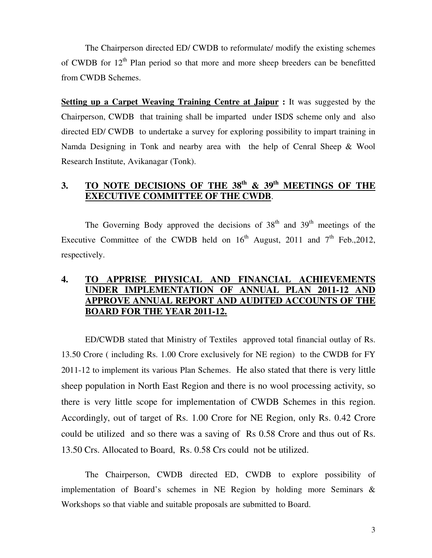The Chairperson directed ED/ CWDB to reformulate/ modify the existing schemes of CWDB for  $12<sup>th</sup>$  Plan period so that more and more sheep breeders can be benefitted from CWDB Schemes.

**Setting up a Carpet Weaving Training Centre at Jaipur :** It was suggested by the Chairperson, CWDB that training shall be imparted under ISDS scheme only and also directed ED/ CWDB to undertake a survey for exploring possibility to impart training in Namda Designing in Tonk and nearby area with the help of Cenral Sheep & Wool Research Institute, Avikanagar (Tonk).

## **3. TO NOTE DECISIONS OF THE 38th & 39th MEETINGS OF THE EXECUTIVE COMMITTEE OF THE CWDB**.

The Governing Body approved the decisions of  $38<sup>th</sup>$  and  $39<sup>th</sup>$  meetings of the Executive Committee of the CWDB held on  $16<sup>th</sup>$  August, 2011 and  $7<sup>th</sup>$  Feb., 2012, respectively.

## **4. TO APPRISE PHYSICAL AND FINANCIAL ACHIEVEMENTS UNDER IMPLEMENTATION OF ANNUAL PLAN 2011-12 APPROVE ANNUAL REPORT AND AUDITED ACCOUNTS OF THE BOARD FOR THE YEAR 2011-12.**

 ED/CWDB stated that Ministry of Textiles approved total financial outlay of Rs. 13.50 Crore ( including Rs. 1.00 Crore exclusively for NE region) to the CWDB for FY 2011-12 to implement its various Plan Schemes. He also stated that there is very little sheep population in North East Region and there is no wool processing activity, so there is very little scope for implementation of CWDB Schemes in this region. Accordingly, out of target of Rs. 1.00 Crore for NE Region, only Rs. 0.42 Crore could be utilized and so there was a saving of Rs 0.58 Crore and thus out of Rs. 13.50 Crs. Allocated to Board, Rs. 0.58 Crs could not be utilized.

 The Chairperson, CWDB directed ED, CWDB to explore possibility of implementation of Board's schemes in NE Region by holding more Seminars & Workshops so that viable and suitable proposals are submitted to Board.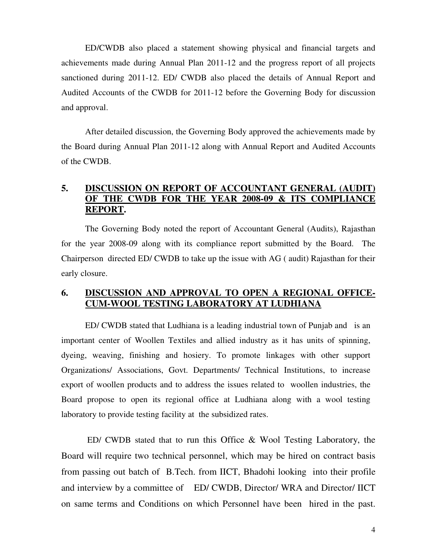ED/CWDB also placed a statement showing physical and financial targets and achievements made during Annual Plan 2011-12 and the progress report of all projects sanctioned during 2011-12. ED/ CWDB also placed the details of Annual Report and Audited Accounts of the CWDB for 2011-12 before the Governing Body for discussion and approval.

After detailed discussion, the Governing Body approved the achievements made by the Board during Annual Plan 2011-12 along with Annual Report and Audited Accounts of the CWDB.

### **5. DISCUSSION ON REPORT OF ACCOUNTANT GENERAL (AUDIT) OF THE CWDB FOR THE YEAR 2008-09 & ITS COMPLIANCE REPORT.**

 The Governing Body noted the report of Accountant General (Audits), Rajasthan for the year 2008-09 along with its compliance report submitted by the Board. The Chairperson directed ED/ CWDB to take up the issue with AG ( audit) Rajasthan for their early closure.

#### **6. DISCUSSION AND APPROVAL TO OPEN A REGIONAL OFFICE-CUM-WOOL TESTING LABORATORY AT LUDHIANA**

 ED/ CWDB stated that Ludhiana is a leading industrial town of Punjab and is an important center of Woollen Textiles and allied industry as it has units of spinning, dyeing, weaving, finishing and hosiery. To promote linkages with other support Organizations/ Associations, Govt. Departments/ Technical Institutions, to increase export of woollen products and to address the issues related to woollen industries, the Board propose to open its regional office at Ludhiana along with a wool testing laboratory to provide testing facility at the subsidized rates.

 ED/ CWDB stated that to run this Office & Wool Testing Laboratory, the Board will require two technical personnel, which may be hired on contract basis from passing out batch of B.Tech. from IICT, Bhadohi looking into their profile and interview by a committee of ED/ CWDB, Director/ WRA and Director/ IICT on same terms and Conditions on which Personnel have been hired in the past.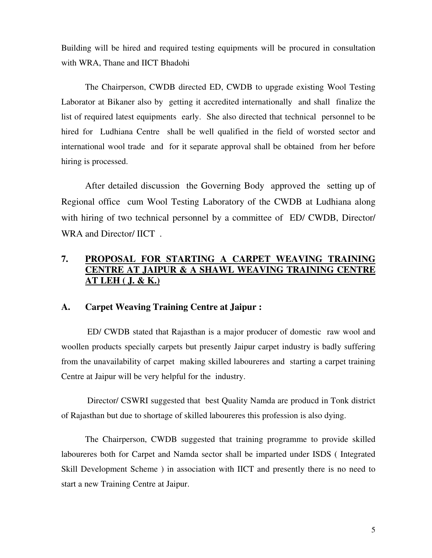Building will be hired and required testing equipments will be procured in consultation with WRA, Thane and IICT Bhadohi

The Chairperson, CWDB directed ED, CWDB to upgrade existing Wool Testing Laborator at Bikaner also by getting it accredited internationally and shall finalize the list of required latest equipments early. She also directed that technical personnel to be hired for Ludhiana Centre shall be well qualified in the field of worsted sector and international wool trade and for it separate approval shall be obtained from her before hiring is processed.

After detailed discussion the Governing Body approved the setting up of Regional office cum Wool Testing Laboratory of the CWDB at Ludhiana along with hiring of two technical personnel by a committee of ED/ CWDB, Director/ WRA and Director/ IICT.

## **7. PROPOSAL FOR STARTING A CARPET WEAVING TRAINING CENTRE AT JAIPUR & A SHAWL WEAVING TRAINING CENTRE AT LEH ( J. & K.)**

#### **A. Carpet Weaving Training Centre at Jaipur :**

 ED/ CWDB stated that Rajasthan is a major producer of domestic raw wool and woollen products specially carpets but presently Jaipur carpet industry is badly suffering from the unavailability of carpet making skilled laboureres and starting a carpet training Centre at Jaipur will be very helpful for the industry.

 Director/ CSWRI suggested that best Quality Namda are producd in Tonk district of Rajasthan but due to shortage of skilled laboureres this profession is also dying.

The Chairperson, CWDB suggested that training programme to provide skilled laboureres both for Carpet and Namda sector shall be imparted under ISDS ( Integrated Skill Development Scheme ) in association with IICT and presently there is no need to start a new Training Centre at Jaipur.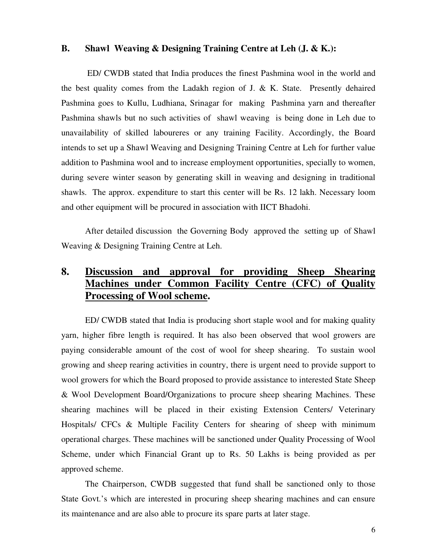#### **B. Shawl Weaving & Designing Training Centre at Leh (J. & K.):**

 ED/ CWDB stated that India produces the finest Pashmina wool in the world and the best quality comes from the Ladakh region of J. & K. State. Presently dehaired Pashmina goes to Kullu, Ludhiana, Srinagar for making Pashmina yarn and thereafter Pashmina shawls but no such activities of shawl weaving is being done in Leh due to unavailability of skilled laboureres or any training Facility. Accordingly, the Board intends to set up a Shawl Weaving and Designing Training Centre at Leh for further value addition to Pashmina wool and to increase employment opportunities, specially to women, during severe winter season by generating skill in weaving and designing in traditional shawls. The approx. expenditure to start this center will be Rs. 12 lakh. Necessary loom and other equipment will be procured in association with IICT Bhadohi.

After detailed discussion the Governing Body approved the setting up of Shawl Weaving & Designing Training Centre at Leh.

# **8. Discussion and approval for providing Sheep Shearing Machines under Common Facility Centre (CFC) of Quality Processing of Wool scheme.**

 ED/ CWDB stated that India is producing short staple wool and for making quality yarn, higher fibre length is required. It has also been observed that wool growers are paying considerable amount of the cost of wool for sheep shearing. To sustain wool growing and sheep rearing activities in country, there is urgent need to provide support to wool growers for which the Board proposed to provide assistance to interested State Sheep & Wool Development Board/Organizations to procure sheep shearing Machines. These shearing machines will be placed in their existing Extension Centers/ Veterinary Hospitals/ CFCs & Multiple Facility Centers for shearing of sheep with minimum operational charges. These machines will be sanctioned under Quality Processing of Wool Scheme, under which Financial Grant up to Rs. 50 Lakhs is being provided as per approved scheme.

The Chairperson, CWDB suggested that fund shall be sanctioned only to those State Govt.'s which are interested in procuring sheep shearing machines and can ensure its maintenance and are also able to procure its spare parts at later stage.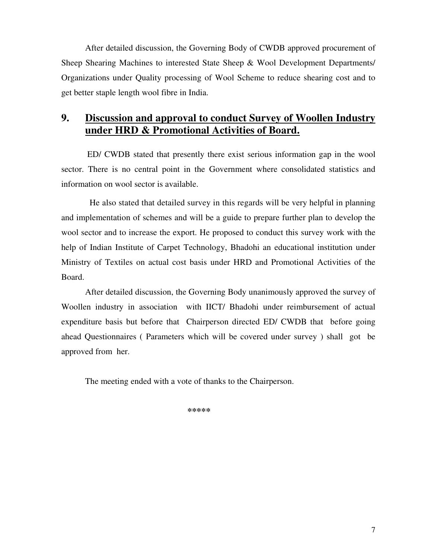After detailed discussion, the Governing Body of CWDB approved procurement of Sheep Shearing Machines to interested State Sheep & Wool Development Departments/ Organizations under Quality processing of Wool Scheme to reduce shearing cost and to get better staple length wool fibre in India.

# **9. Discussion and approval to conduct Survey of Woollen Industry under HRD & Promotional Activities of Board.**

 ED/ CWDB stated that presently there exist serious information gap in the wool sector. There is no central point in the Government where consolidated statistics and information on wool sector is available.

 He also stated that detailed survey in this regards will be very helpful in planning and implementation of schemes and will be a guide to prepare further plan to develop the wool sector and to increase the export. He proposed to conduct this survey work with the help of Indian Institute of Carpet Technology, Bhadohi an educational institution under Ministry of Textiles on actual cost basis under HRD and Promotional Activities of the Board.

After detailed discussion, the Governing Body unanimously approved the survey of Woollen industry in association with IICT/ Bhadohi under reimbursement of actual expenditure basis but before that Chairperson directed ED/ CWDB that before going ahead Questionnaires ( Parameters which will be covered under survey ) shall got be approved from her.

The meeting ended with a vote of thanks to the Chairperson.

**\*\*\*\*\***